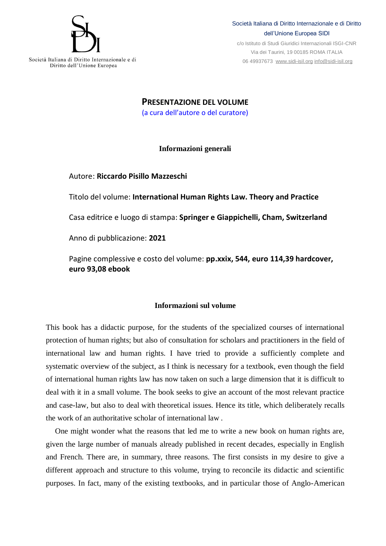

## Società Italiana di Diritto Internazionale e di Diritto dell'Unione Europea SIDI

c/o Istituto di Studi Giuridici Internazionali ISGI-CNR Via dei Taurini, 19 00185 ROMA ITALIA 06 49937673 [www.sidi-isil.org](http://www.sidi-isil.org/) [info@sidi-isil.org](mailto:info@sidi-isil.org)

**PRESENTAZIONE DEL VOLUME** (a cura dell'autore o del curatore)

## **Informazioni generali**

Autore: **Riccardo Pisillo Mazzeschi**

Titolo del volume: **International Human Rights Law. Theory and Practice** Casa editrice e luogo di stampa: **Springer e Giappichelli, Cham, Switzerland** Anno di pubblicazione: **2021**

Pagine complessive e costo del volume: **pp.xxix, 544, euro 114,39 hardcover, euro 93,08 ebook**

## **Informazioni sul volume**

This book has a didactic purpose, for the students of the specialized courses of international protection of human rights; but also of consultation for scholars and practitioners in the field of international law and human rights. I have tried to provide a sufficiently complete and systematic overview of the subject, as I think is necessary for a textbook, even though the field of international human rights law has now taken on such a large dimension that it is difficult to deal with it in a small volume. The book seeks to give an account of the most relevant practice and case-law, but also to deal with theoretical issues. Hence its title, which deliberately recalls the work of an authoritative scholar of international law .

One might wonder what the reasons that led me to write a new book on human rights are, given the large number of manuals already published in recent decades, especially in English and French. There are, in summary, three reasons. The first consists in my desire to give a different approach and structure to this volume, trying to reconcile its didactic and scientific purposes. In fact, many of the existing textbooks, and in particular those of Anglo-American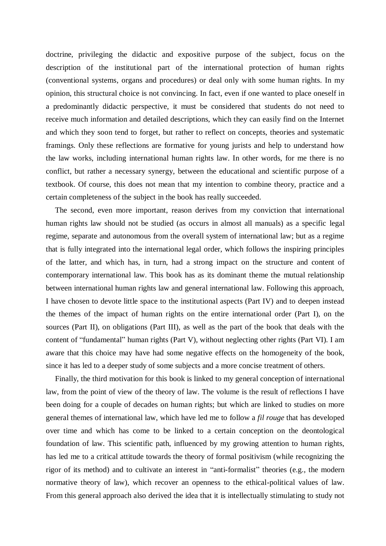doctrine, privileging the didactic and expositive purpose of the subject, focus on the description of the institutional part of the international protection of human rights (conventional systems, organs and procedures) or deal only with some human rights. In my opinion, this structural choice is not convincing. In fact, even if one wanted to place oneself in a predominantly didactic perspective, it must be considered that students do not need to receive much information and detailed descriptions, which they can easily find on the Internet and which they soon tend to forget, but rather to reflect on concepts, theories and systematic framings. Only these reflections are formative for young jurists and help to understand how the law works, including international human rights law. In other words, for me there is no conflict, but rather a necessary synergy, between the educational and scientific purpose of a textbook. Of course, this does not mean that my intention to combine theory, practice and a certain completeness of the subject in the book has really succeeded.

The second, even more important, reason derives from my conviction that international human rights law should not be studied (as occurs in almost all manuals) as a specific legal regime, separate and autonomous from the overall system of international law; but as a regime that is fully integrated into the international legal order, which follows the inspiring principles of the latter, and which has, in turn, had a strong impact on the structure and content of contemporary international law. This book has as its dominant theme the mutual relationship between international human rights law and general international law. Following this approach, I have chosen to devote little space to the institutional aspects (Part IV) and to deepen instead the themes of the impact of human rights on the entire international order (Part I), on the sources (Part II), on obligations (Part III), as well as the part of the book that deals with the content of "fundamental" human rights (Part V), without neglecting other rights (Part VI). I am aware that this choice may have had some negative effects on the homogeneity of the book, since it has led to a deeper study of some subjects and a more concise treatment of others.

Finally, the third motivation for this book is linked to my general conception of international law, from the point of view of the theory of law. The volume is the result of reflections I have been doing for a couple of decades on human rights; but which are linked to studies on more general themes of international law, which have led me to follow a *fil rouge* that has developed over time and which has come to be linked to a certain conception on the deontological foundation of law. This scientific path, influenced by my growing attention to human rights, has led me to a critical attitude towards the theory of formal positivism (while recognizing the rigor of its method) and to cultivate an interest in "anti-formalist" theories (e.g., the modern normative theory of law), which recover an openness to the ethical-political values of law. From this general approach also derived the idea that it is intellectually stimulating to study not